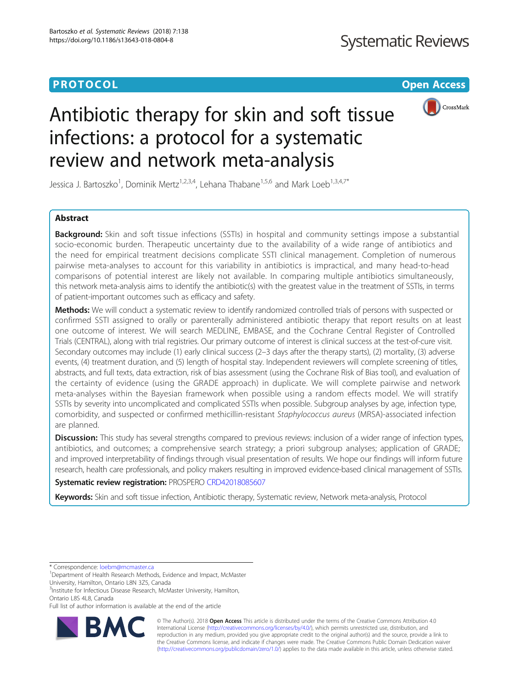# **PROTOCOL CONSUMING THE OPEN ACCESS**



# Antibiotic therapy for skin and soft tissue infections: a protocol for a systematic review and network meta-analysis

Jessica J. Bartoszko<sup>1</sup>, Dominik Mertz<sup>1,2,3,4</sup>, Lehana Thabane<sup>1,5,6</sup> and Mark Loeb<sup>1,3,4,7\*</sup>

# Abstract

**Background:** Skin and soft tissue infections (SSTIs) in hospital and community settings impose a substantial socio-economic burden. Therapeutic uncertainty due to the availability of a wide range of antibiotics and the need for empirical treatment decisions complicate SSTI clinical management. Completion of numerous pairwise meta-analyses to account for this variability in antibiotics is impractical, and many head-to-head comparisons of potential interest are likely not available. In comparing multiple antibiotics simultaneously, this network meta-analysis aims to identify the antibiotic(s) with the greatest value in the treatment of SSTIs, in terms of patient-important outcomes such as efficacy and safety.

Methods: We will conduct a systematic review to identify randomized controlled trials of persons with suspected or confirmed SSTI assigned to orally or parenterally administered antibiotic therapy that report results on at least one outcome of interest. We will search MEDLINE, EMBASE, and the Cochrane Central Register of Controlled Trials (CENTRAL), along with trial registries. Our primary outcome of interest is clinical success at the test-of-cure visit. Secondary outcomes may include (1) early clinical success (2–3 days after the therapy starts), (2) mortality, (3) adverse events, (4) treatment duration, and (5) length of hospital stay. Independent reviewers will complete screening of titles, abstracts, and full texts, data extraction, risk of bias assessment (using the Cochrane Risk of Bias tool), and evaluation of the certainty of evidence (using the GRADE approach) in duplicate. We will complete pairwise and network meta-analyses within the Bayesian framework when possible using a random effects model. We will stratify SSTIs by severity into uncomplicated and complicated SSTIs when possible. Subgroup analyses by age, infection type, comorbidity, and suspected or confirmed methicillin-resistant Staphylococcus aureus (MRSA)-associated infection are planned.

Discussion: This study has several strengths compared to previous reviews: inclusion of a wider range of infection types, antibiotics, and outcomes; a comprehensive search strategy; a priori subgroup analyses; application of GRADE; and improved interpretability of findings through visual presentation of results. We hope our findings will inform future research, health care professionals, and policy makers resulting in improved evidence-based clinical management of SSTIs.

# Systematic review registration: PROSPERO [CRD42018085607](https://www.crd.york.ac.uk/prospero/display_record.php?RecordID=85607)

Keywords: Skin and soft tissue infection, Antibiotic therapy, Systematic review, Network meta-analysis, Protocol

\* Correspondence: [loebm@mcmaster.ca](mailto:loebm@mcmaster.ca) <sup>1</sup>

<sup>3</sup>Institute for Infectious Disease Research, McMaster University, Hamilton, Ontario L8S 4L8, Canada

Full list of author information is available at the end of the article



© The Author(s). 2018 Open Access This article is distributed under the terms of the Creative Commons Attribution 4.0 International License [\(http://creativecommons.org/licenses/by/4.0/](http://creativecommons.org/licenses/by/4.0/)), which permits unrestricted use, distribution, and reproduction in any medium, provided you give appropriate credit to the original author(s) and the source, provide a link to the Creative Commons license, and indicate if changes were made. The Creative Commons Public Domain Dedication waiver [\(http://creativecommons.org/publicdomain/zero/1.0/](http://creativecommons.org/publicdomain/zero/1.0/)) applies to the data made available in this article, unless otherwise stated.

<sup>&</sup>lt;sup>1</sup>Department of Health Research Methods, Evidence and Impact, McMaster University, Hamilton, Ontario L8N 3Z5, Canada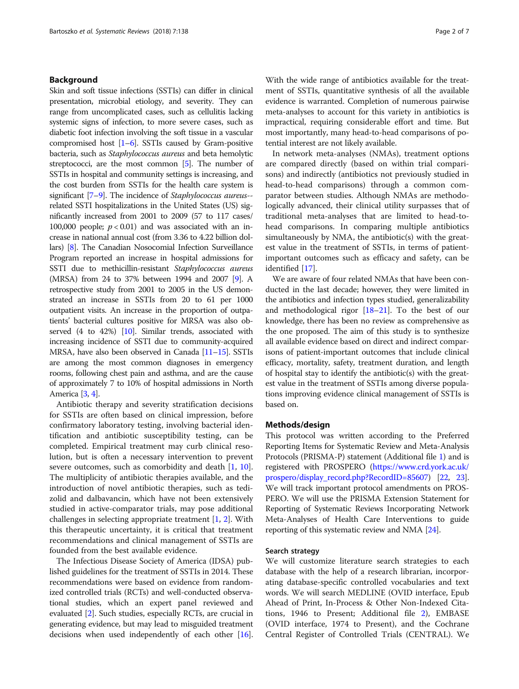# Background

Skin and soft tissue infections (SSTIs) can differ in clinical presentation, microbial etiology, and severity. They can range from uncomplicated cases, such as cellulitis lacking systemic signs of infection, to more severe cases, such as diabetic foot infection involving the soft tissue in a vascular compromised host  $[1-6]$  $[1-6]$  $[1-6]$  $[1-6]$ . SSTIs caused by Gram-positive bacteria, such as Staphylococcus aureus and beta hemolytic streptococci, are the most common [\[5\]](#page-6-0). The number of SSTIs in hospital and community settings is increasing, and the cost burden from SSTIs for the health care system is significant [[7](#page-6-0)–[9\]](#page-6-0). The incidence of Staphylococcus aureus-related SSTI hospitalizations in the United States (US) significantly increased from 2001 to 2009 (57 to 117 cases/ 100,000 people;  $p < 0.01$ ) and was associated with an increase in national annual cost (from 3.36 to 4.22 billion dollars) [\[8\]](#page-6-0). The Canadian Nosocomial Infection Surveillance Program reported an increase in hospital admissions for SSTI due to methicillin-resistant Staphylococcus aureus (MRSA) from 24 to 37% between 1994 and 2007 [\[9](#page-6-0)]. A retrospective study from 2001 to 2005 in the US demonstrated an increase in SSTIs from 20 to 61 per 1000 outpatient visits. An increase in the proportion of outpatients' bacterial cultures positive for MRSA was also observed (4 to 42%) [\[10\]](#page-6-0). Similar trends, associated with increasing incidence of SSTI due to community-acquired MRSA, have also been observed in Canada [\[11](#page-6-0)–[15](#page-6-0)]. SSTIs are among the most common diagnoses in emergency rooms, following chest pain and asthma, and are the cause of approximately 7 to 10% of hospital admissions in North America [[3](#page-6-0), [4\]](#page-6-0).

Antibiotic therapy and severity stratification decisions for SSTIs are often based on clinical impression, before confirmatory laboratory testing, involving bacterial identification and antibiotic susceptibility testing, can be completed. Empirical treatment may curb clinical resolution, but is often a necessary intervention to prevent severe outcomes, such as comorbidity and death [[1,](#page-5-0) [10](#page-6-0)]. The multiplicity of antibiotic therapies available, and the introduction of novel antibiotic therapies, such as tedizolid and dalbavancin, which have not been extensively studied in active-comparator trials, may pose additional challenges in selecting appropriate treatment [[1](#page-5-0), [2](#page-5-0)]. With this therapeutic uncertainty, it is critical that treatment recommendations and clinical management of SSTIs are founded from the best available evidence.

The Infectious Disease Society of America (IDSA) published guidelines for the treatment of SSTIs in 2014. These recommendations were based on evidence from randomized controlled trials (RCTs) and well-conducted observational studies, which an expert panel reviewed and evaluated [[2](#page-5-0)]. Such studies, especially RCTs, are crucial in generating evidence, but may lead to misguided treatment decisions when used independently of each other [[16](#page-6-0)]. With the wide range of antibiotics available for the treatment of SSTIs, quantitative synthesis of all the available evidence is warranted. Completion of numerous pairwise meta-analyses to account for this variety in antibiotics is impractical, requiring considerable effort and time. But most importantly, many head-to-head comparisons of potential interest are not likely available.

In network meta-analyses (NMAs), treatment options are compared directly (based on within trial comparisons) and indirectly (antibiotics not previously studied in head-to-head comparisons) through a common comparator between studies. Although NMAs are methodologically advanced, their clinical utility surpasses that of traditional meta-analyses that are limited to head-tohead comparisons. In comparing multiple antibiotics simultaneously by NMA, the antibiotic(s) with the greatest value in the treatment of SSTIs, in terms of patientimportant outcomes such as efficacy and safety, can be identified [\[17\]](#page-6-0).

We are aware of four related NMAs that have been conducted in the last decade; however, they were limited in the antibiotics and infection types studied, generalizability and methodological rigor  $[18–21]$  $[18–21]$  $[18–21]$  $[18–21]$ . To the best of our knowledge, there has been no review as comprehensive as the one proposed. The aim of this study is to synthesize all available evidence based on direct and indirect comparisons of patient-important outcomes that include clinical efficacy, mortality, safety, treatment duration, and length of hospital stay to identify the antibiotic(s) with the greatest value in the treatment of SSTIs among diverse populations improving evidence clinical management of SSTIs is based on.

#### Methods/design

This protocol was written according to the Preferred Reporting Items for Systematic Review and Meta-Analysis Protocols (PRISMA-P) statement (Additional file [1\)](#page-5-0) and is registered with PROSPERO ([https://www.crd.york.ac.uk/](https://www.crd.york.ac.uk/prospero/display_record.php?RecordID=85607) [prospero/display\\_record.php?RecordID=85607](https://www.crd.york.ac.uk/prospero/display_record.php?RecordID=85607)) [[22](#page-6-0), [23](#page-6-0)]. We will track important protocol amendments on PROS-PERO. We will use the PRISMA Extension Statement for Reporting of Systematic Reviews Incorporating Network Meta-Analyses of Health Care Interventions to guide reporting of this systematic review and NMA [\[24\]](#page-6-0).

## Search strategy

We will customize literature search strategies to each database with the help of a research librarian, incorporating database-specific controlled vocabularies and text words. We will search MEDLINE (OVID interface, Epub Ahead of Print, In-Process & Other Non-Indexed Citations, 1946 to Present; Additional file [2](#page-5-0)), EMBASE (OVID interface, 1974 to Present), and the Cochrane Central Register of Controlled Trials (CENTRAL). We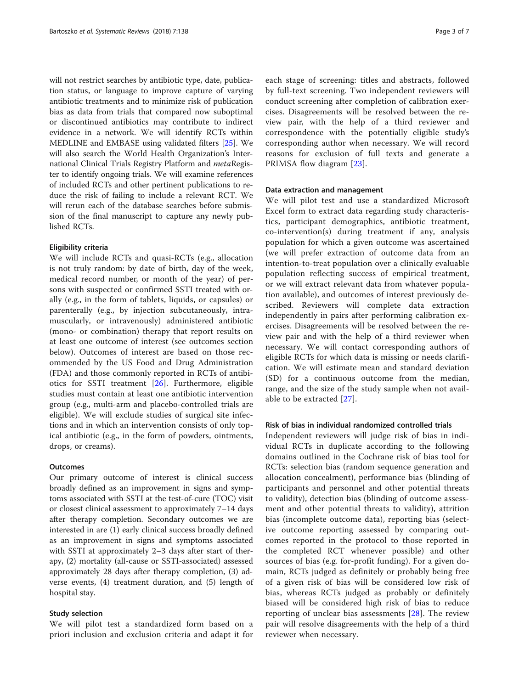will not restrict searches by antibiotic type, date, publication status, or language to improve capture of varying antibiotic treatments and to minimize risk of publication bias as data from trials that compared now suboptimal or discontinued antibiotics may contribute to indirect evidence in a network. We will identify RCTs within MEDLINE and EMBASE using validated filters [[25\]](#page-6-0). We will also search the World Health Organization's International Clinical Trials Registry Platform and metaRegister to identify ongoing trials. We will examine references of included RCTs and other pertinent publications to reduce the risk of failing to include a relevant RCT. We will rerun each of the database searches before submission of the final manuscript to capture any newly published RCTs.

#### Eligibility criteria

We will include RCTs and quasi-RCTs (e.g., allocation is not truly random: by date of birth, day of the week, medical record number, or month of the year) of persons with suspected or confirmed SSTI treated with orally (e.g., in the form of tablets, liquids, or capsules) or parenterally (e.g., by injection subcutaneously, intramuscularly, or intravenously) administered antibiotic (mono- or combination) therapy that report results on at least one outcome of interest (see outcomes section below). Outcomes of interest are based on those recommended by the US Food and Drug Administration (FDA) and those commonly reported in RCTs of antibiotics for SSTI treatment [[26\]](#page-6-0). Furthermore, eligible studies must contain at least one antibiotic intervention group (e.g., multi-arm and placebo-controlled trials are eligible). We will exclude studies of surgical site infections and in which an intervention consists of only topical antibiotic (e.g., in the form of powders, ointments, drops, or creams).

### **Outcomes**

Our primary outcome of interest is clinical success broadly defined as an improvement in signs and symptoms associated with SSTI at the test-of-cure (TOC) visit or closest clinical assessment to approximately 7–14 days after therapy completion. Secondary outcomes we are interested in are (1) early clinical success broadly defined as an improvement in signs and symptoms associated with SSTI at approximately 2–3 days after start of therapy, (2) mortality (all-cause or SSTI-associated) assessed approximately 28 days after therapy completion, (3) adverse events, (4) treatment duration, and (5) length of hospital stay.

#### Study selection

We will pilot test a standardized form based on a priori inclusion and exclusion criteria and adapt it for

each stage of screening: titles and abstracts, followed by full-text screening. Two independent reviewers will conduct screening after completion of calibration exercises. Disagreements will be resolved between the review pair, with the help of a third reviewer and correspondence with the potentially eligible study's corresponding author when necessary. We will record reasons for exclusion of full texts and generate a PRIMSA flow diagram [[23\]](#page-6-0).

### Data extraction and management

We will pilot test and use a standardized Microsoft Excel form to extract data regarding study characteristics, participant demographics, antibiotic treatment, co-intervention(s) during treatment if any, analysis population for which a given outcome was ascertained (we will prefer extraction of outcome data from an intention-to-treat population over a clinically evaluable population reflecting success of empirical treatment, or we will extract relevant data from whatever population available), and outcomes of interest previously described. Reviewers will complete data extraction independently in pairs after performing calibration exercises. Disagreements will be resolved between the review pair and with the help of a third reviewer when necessary. We will contact corresponding authors of eligible RCTs for which data is missing or needs clarification. We will estimate mean and standard deviation (SD) for a continuous outcome from the median, range, and the size of the study sample when not available to be extracted [\[27](#page-6-0)].

### Risk of bias in individual randomized controlled trials

Independent reviewers will judge risk of bias in individual RCTs in duplicate according to the following domains outlined in the Cochrane risk of bias tool for RCTs: selection bias (random sequence generation and allocation concealment), performance bias (blinding of participants and personnel and other potential threats to validity), detection bias (blinding of outcome assessment and other potential threats to validity), attrition bias (incomplete outcome data), reporting bias (selective outcome reporting assessed by comparing outcomes reported in the protocol to those reported in the completed RCT whenever possible) and other sources of bias (e.g. for-profit funding). For a given domain, RCTs judged as definitely or probably being free of a given risk of bias will be considered low risk of bias, whereas RCTs judged as probably or definitely biased will be considered high risk of bias to reduce reporting of unclear bias assessments [[28](#page-6-0)]. The review pair will resolve disagreements with the help of a third reviewer when necessary.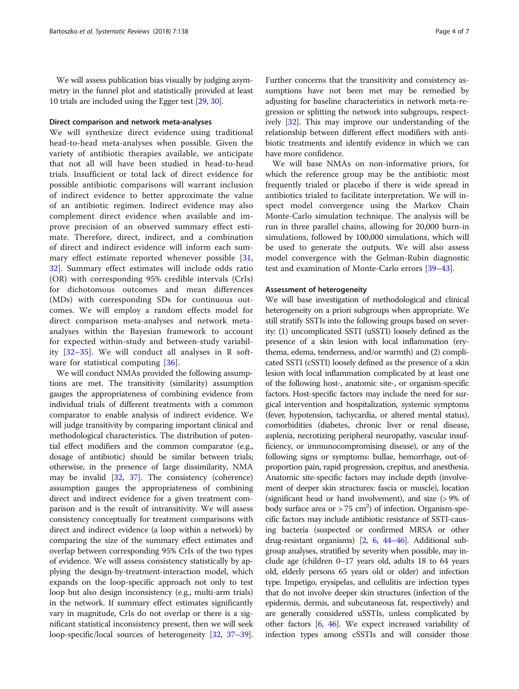We will assess publication bias visually by judging asymmetry in the funnel plot and statistically provided at least 10 trials are included using the Egger test [\[29](#page-6-0), [30](#page-6-0)].

# Direct comparison and network meta-analyses

We will synthesize direct evidence using traditional head-to-head meta-analyses when possible. Given the variety of antibiotic therapies available, we anticipate that not all will have been studied in head-to-head trials. Insufficient or total lack of direct evidence for possible antibiotic comparisons will warrant inclusion of indirect evidence to better approximate the value of an antibiotic regimen. Indirect evidence may also complement direct evidence when available and improve precision of an observed summary effect estimate. Therefore, direct, indirect, and a combination of direct and indirect evidence will inform each summary effect estimate reported whenever possible [\[31](#page-6-0), [32\]](#page-6-0). Summary effect estimates will include odds ratio (OR) with corresponding 95% credible intervals (CrIs) for dichotomous outcomes and mean differences (MDs) with corresponding SDs for continuous outcomes. We will employ a random effects model for direct comparison meta-analyses and network metaanalyses within the Bayesian framework to account for expected within-study and between-study variability [[32](#page-6-0)–[35\]](#page-6-0). We will conduct all analyses in R soft-ware for statistical computing [[36](#page-6-0)].

We will conduct NMAs provided the following assumptions are met. The transitivity (similarity) assumption gauges the appropriateness of combining evidence from individual trials of different treatments with a common comparator to enable analysis of indirect evidence. We will judge transitivity by comparing important clinical and methodological characteristics. The distribution of potential effect modifiers and the common comparator (e.g., dosage of antibiotic) should be similar between trials; otherwise, in the presence of large dissimilarity, NMA may be invalid [[32](#page-6-0), [37](#page-6-0)]. The consistency (coherence) assumption gauges the appropriateness of combining direct and indirect evidence for a given treatment comparison and is the result of intransitivity. We will assess consistency conceptually for treatment comparisons with direct and indirect evidence (a loop within a network) by comparing the size of the summary effect estimates and overlap between corresponding 95% CrIs of the two types of evidence. We will assess consistency statistically by applying the design-by-treatment-interaction model, which expands on the loop-specific approach not only to test loop but also design inconsistency (e.g., multi-arm trials) in the network. If summary effect estimates significantly vary in magnitude, CrIs do not overlap or there is a significant statistical inconsistency present, then we will seek loop-specific/local sources of heterogeneity [[32](#page-6-0), [37](#page-6-0)–[39](#page-6-0)].

Further concerns that the transitivity and consistency assumptions have not been met may be remedied by adjusting for baseline characteristics in network meta-regression or splitting the network into subgroups, respectively [[32](#page-6-0)]. This may improve our understanding of the relationship between different effect modifiers with antibiotic treatments and identify evidence in which we can have more confidence.

We will base NMAs on non-informative priors, for which the reference group may be the antibiotic most frequently trialed or placebo if there is wide spread in antibiotics trialed to facilitate interpretation. We will inspect model convergence using the Markov Chain Monte-Carlo simulation technique. The analysis will be run in three parallel chains, allowing for 20,000 burn-in simulations, followed by 100,000 simulations, which will be used to generate the outputs. We will also assess model convergence with the Gelman-Rubin diagnostic test and examination of Monte-Carlo errors [\[39](#page-6-0)–[43\]](#page-6-0).

## Assessment of heterogeneity

We will base investigation of methodological and clinical heterogeneity on a priori subgroups when appropriate. We still stratify SSTIs into the following groups based on severity: (1) uncomplicated SSTI (uSSTI) loosely defined as the presence of a skin lesion with local inflammation (erythema, edema, tenderness, and/or warmth) and (2) complicated SSTI (cSSTI) loosely defined as the presence of a skin lesion with local inflammation complicated by at least one of the following host-, anatomic site-, or organism-specific factors. Host-specific factors may include the need for surgical intervention and hospitalization, systemic symptoms (fever, hypotension, tachycardia, or altered mental status), comorbidities (diabetes, chronic liver or renal disease, asplenia, necrotizing peripheral neuropathy, vascular insufficiency, or immunocompromising disease), or any of the following signs or symptoms: bullae, hemorrhage, out-ofproportion pain, rapid progression, crepitus, and anesthesia. Anatomic site-specific factors may include depth (involvement of deeper skin structures: fascia or muscle), location (significant head or hand involvement), and size (> 9% of body surface area or  $> 75$  cm<sup>2</sup>) of infection. Organism-specific factors may include antibiotic resistance of SSTI-causing bacteria (suspected or confirmed MRSA or other drug-resistant organisms) [[2](#page-5-0), [6](#page-6-0), [44](#page-6-0)–[46](#page-6-0)]. Additional subgroup analyses, stratified by severity when possible, may include age (children 0–17 years old, adults 18 to 64 years old, elderly persons 65 years old or older) and infection type. Impetigo, erysipelas, and cellulitis are infection types that do not involve deeper skin structures (infection of the epidermis, dermis, and subcutaneous fat, respectively) and are generally considered uSSTIs, unless complicated by other factors [\[6,](#page-6-0) [46](#page-6-0)]. We expect increased variability of infection types among cSSTIs and will consider those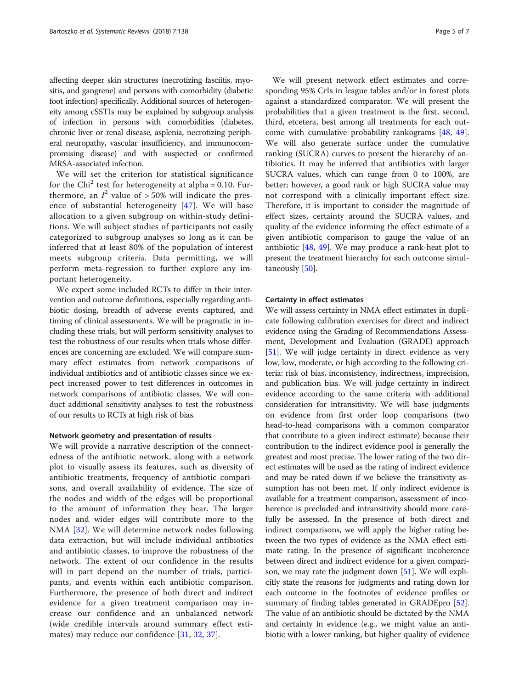affecting deeper skin structures (necrotizing fasciitis, myositis, and gangrene) and persons with comorbidity (diabetic foot infection) specifically. Additional sources of heterogeneity among cSSTIs may be explained by subgroup analysis of infection in persons with comorbidities (diabetes, chronic liver or renal disease, asplenia, necrotizing peripheral neuropathy, vascular insufficiency, and immunocompromising disease) and with suspected or confirmed MRSA-associated infection.

We will set the criterion for statistical significance for the Chi<sup>2</sup> test for heterogeneity at alpha =  $0.10$ . Furthermore, an  $I^2$  value of  $> 50\%$  will indicate the presence of substantial heterogeneity [\[47](#page-6-0)]. We will base allocation to a given subgroup on within-study definitions. We will subject studies of participants not easily categorized to subgroup analyses so long as it can be inferred that at least 80% of the population of interest meets subgroup criteria. Data permitting, we will perform meta-regression to further explore any important heterogeneity.

We expect some included RCTs to differ in their intervention and outcome definitions, especially regarding antibiotic dosing, breadth of adverse events captured, and timing of clinical assessments. We will be pragmatic in including these trials, but will perform sensitivity analyses to test the robustness of our results when trials whose differences are concerning are excluded. We will compare summary effect estimates from network comparisons of individual antibiotics and of antibiotic classes since we expect increased power to test differences in outcomes in network comparisons of antibiotic classes. We will conduct additional sensitivity analyses to test the robustness of our results to RCTs at high risk of bias.

#### Network geometry and presentation of results

We will provide a narrative description of the connectedness of the antibiotic network, along with a network plot to visually assess its features, such as diversity of antibiotic treatments, frequency of antibiotic comparisons, and overall availability of evidence. The size of the nodes and width of the edges will be proportional to the amount of information they bear. The larger nodes and wider edges will contribute more to the NMA [\[32](#page-6-0)]. We will determine network nodes following data extraction, but will include individual antibiotics and antibiotic classes, to improve the robustness of the network. The extent of our confidence in the results will in part depend on the number of trials, participants, and events within each antibiotic comparison. Furthermore, the presence of both direct and indirect evidence for a given treatment comparison may increase our confidence and an unbalanced network (wide credible intervals around summary effect estimates) may reduce our confidence [[31,](#page-6-0) [32](#page-6-0), [37](#page-6-0)].

We will present network effect estimates and corresponding 95% CrIs in league tables and/or in forest plots against a standardized comparator. We will present the probabilities that a given treatment is the first, second, third, etcetera, best among all treatments for each outcome with cumulative probability rankograms [\[48,](#page-6-0) [49](#page-6-0)]. We will also generate surface under the cumulative ranking (SUCRA) curves to present the hierarchy of antibiotics. It may be inferred that antibiotics with larger SUCRA values, which can range from 0 to 100%, are better; however, a good rank or high SUCRA value may not correspond with a clinically important effect size. Therefore, it is important to consider the magnitude of effect sizes, certainty around the SUCRA values, and quality of the evidence informing the effect estimate of a given antibiotic comparison to gauge the value of an antibiotic  $[48, 49]$  $[48, 49]$  $[48, 49]$  $[48, 49]$  $[48, 49]$ . We may produce a rank-heat plot to present the treatment hierarchy for each outcome simultaneously [\[50](#page-6-0)].

#### Certainty in effect estimates

We will assess certainty in NMA effect estimates in duplicate following calibration exercises for direct and indirect evidence using the Grading of Recommendations Assessment, Development and Evaluation (GRADE) approach [[51](#page-6-0)]. We will judge certainty in direct evidence as very low, low, moderate, or high according to the following criteria: risk of bias, inconsistency, indirectness, imprecision, and publication bias. We will judge certainty in indirect evidence according to the same criteria with additional consideration for intransitivity. We will base judgments on evidence from first order loop comparisons (two head-to-head comparisons with a common comparator that contribute to a given indirect estimate) because their contribution to the indirect evidence pool is generally the greatest and most precise. The lower rating of the two direct estimates will be used as the rating of indirect evidence and may be rated down if we believe the transitivity assumption has not been met. If only indirect evidence is available for a treatment comparison, assessment of incoherence is precluded and intransitivity should more carefully be assessed. In the presence of both direct and indirect comparisons, we will apply the higher rating between the two types of evidence as the NMA effect estimate rating. In the presence of significant incoherence between direct and indirect evidence for a given comparison, we may rate the judgment down [\[51\]](#page-6-0). We will explicitly state the reasons for judgments and rating down for each outcome in the footnotes of evidence profiles or summary of finding tables generated in GRADEpro [[52](#page-6-0)]. The value of an antibiotic should be dictated by the NMA and certainty in evidence (e.g., we might value an antibiotic with a lower ranking, but higher quality of evidence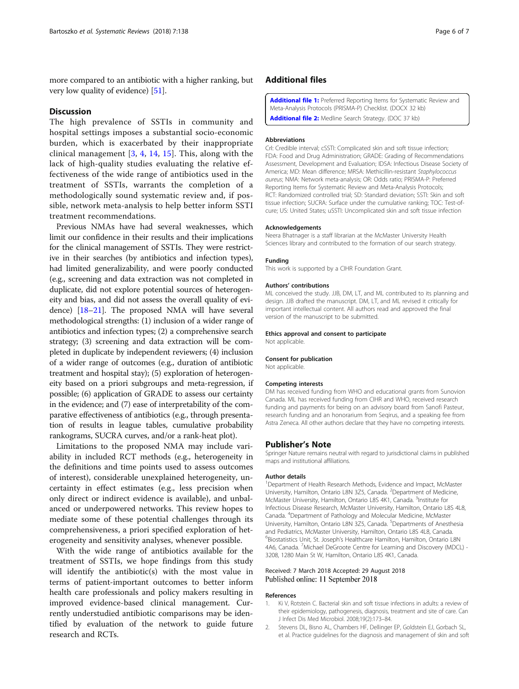<span id="page-5-0"></span>more compared to an antibiotic with a higher ranking, but very low quality of evidence) [\[51](#page-6-0)].

#### **Discussion**

The high prevalence of SSTIs in community and hospital settings imposes a substantial socio-economic burden, which is exacerbated by their inappropriate clinical management  $[3, 4, 14, 15]$  $[3, 4, 14, 15]$  $[3, 4, 14, 15]$  $[3, 4, 14, 15]$  $[3, 4, 14, 15]$  $[3, 4, 14, 15]$  $[3, 4, 14, 15]$ . This, along with the lack of high-quality studies evaluating the relative effectiveness of the wide range of antibiotics used in the treatment of SSTIs, warrants the completion of a methodologically sound systematic review and, if possible, network meta-analysis to help better inform SSTI treatment recommendations.

Previous NMAs have had several weaknesses, which limit our confidence in their results and their implications for the clinical management of SSTIs. They were restrictive in their searches (by antibiotics and infection types), had limited generalizability, and were poorly conducted (e.g., screening and data extraction was not completed in duplicate, did not explore potential sources of heterogeneity and bias, and did not assess the overall quality of evidence) [[18](#page-6-0)–[21\]](#page-6-0). The proposed NMA will have several methodological strengths: (1) inclusion of a wider range of antibiotics and infection types; (2) a comprehensive search strategy; (3) screening and data extraction will be completed in duplicate by independent reviewers; (4) inclusion of a wider range of outcomes (e.g., duration of antibiotic treatment and hospital stay); (5) exploration of heterogeneity based on a priori subgroups and meta-regression, if possible; (6) application of GRADE to assess our certainty in the evidence; and (7) ease of interpretability of the comparative effectiveness of antibiotics (e.g., through presentation of results in league tables, cumulative probability rankograms, SUCRA curves, and/or a rank-heat plot).

Limitations to the proposed NMA may include variability in included RCT methods (e.g., heterogeneity in the definitions and time points used to assess outcomes of interest), considerable unexplained heterogeneity, uncertainty in effect estimates (e.g., less precision when only direct or indirect evidence is available), and unbalanced or underpowered networks. This review hopes to mediate some of these potential challenges through its comprehensiveness, a priori specified exploration of heterogeneity and sensitivity analyses, whenever possible.

With the wide range of antibiotics available for the treatment of SSTIs, we hope findings from this study will identify the antibiotic(s) with the most value in terms of patient-important outcomes to better inform health care professionals and policy makers resulting in improved evidence-based clinical management. Currently understudied antibiotic comparisons may be identified by evaluation of the network to guide future research and RCTs.

# Additional files

[Additional file 1:](https://doi.org/10.1186/s13643-018-0804-8) Preferred Reporting Items for Systematic Review and Meta-Analysis Protocols (PRISMA-P) Checklist. (DOCX 32 kb) [Additional file 2:](https://doi.org/10.1186/s13643-018-0804-8) Medline Search Strategy. (DOC 37 kb)

#### Abbreviations

CrI: Credible interval; cSSTI: Complicated skin and soft tissue infection; FDA: Food and Drug Administration; GRADE: Grading of Recommendations Assessment, Development and Evaluation; IDSA: Infectious Disease Society of America; MD: Mean difference; MRSA: Methicillin-resistant Staphylococcus aureus; NMA: Network meta-analysis; OR: Odds ratio; PRISMA-P: Preferred Reporting Items for Systematic Review and Meta-Analysis Protocols; RCT: Randomized controlled trial; SD: Standard deviation; SSTI: Skin and soft tissue infection; SUCRA: Surface under the cumulative ranking; TOC: Test-ofcure; US: United States; uSSTI: Uncomplicated skin and soft tissue infection

#### Acknowledgements

Neera Bhatnager is a staff librarian at the McMaster University Health Sciences library and contributed to the formation of our search strategy.

#### Funding

This work is supported by a CIHR Foundation Grant.

#### Authors' contributions

ML conceived the study. JJB, DM, LT, and ML contributed to its planning and design. JJB drafted the manuscript. DM, LT, and ML revised it critically for important intellectual content. All authors read and approved the final version of the manuscript to be submitted.

#### Ethics approval and consent to participate Not applicable.

#### Consent for publication

Not applicable.

#### Competing interests

DM has received funding from WHO and educational grants from Sunovion Canada. ML has received funding from CIHR and WHO, received research funding and payments for being on an advisory board from Sanofi Pasteur, research funding and an honorarium from Seqirus, and a speaking fee from Astra Zeneca. All other authors declare that they have no competing interests.

#### Publisher's Note

Springer Nature remains neutral with regard to jurisdictional claims in published maps and institutional affiliations.

#### Author details

<sup>1</sup>Department of Health Research Methods, Evidence and Impact, McMaster University, Hamilton, Ontario L8N 3Z5, Canada. <sup>2</sup>Department of Medicine McMaster University, Hamilton, Ontario L8S 4K1, Canada. <sup>3</sup>Institute for Infectious Disease Research, McMaster University, Hamilton, Ontario L8S 4L8, Canada. <sup>4</sup> Department of Pathology and Molecular Medicine, McMaster University, Hamilton, Ontario L8N 3Z5, Canada. <sup>5</sup>Departments of Anesthesia and Pediatrics, McMaster University, Hamilton, Ontario L8S 4L8, Canada. 6 Biostatistics Unit, St. Joseph's Healthcare Hamilton, Hamilton, Ontario L8N 4A6, Canada. <sup>7</sup> Michael DeGroote Centre for Learning and Discovery (MDCL) -3208, 1280 Main St W, Hamilton, Ontario L8S 4K1, Canada.

#### Received: 7 March 2018 Accepted: 29 August 2018 Published online: 11 September 2018

#### References

- 1. Ki V, Rotstein C. Bacterial skin and soft tissue infections in adults: a review of their epidemiology, pathogenesis, diagnosis, treatment and site of care. Can J Infect Dis Med Microbiol. 2008;19(2):173–84.
- 2. Stevens DL, Bisno AL, Chambers HF, Dellinger EP, Goldstein EJ, Gorbach SL, et al. Practice guidelines for the diagnosis and management of skin and soft